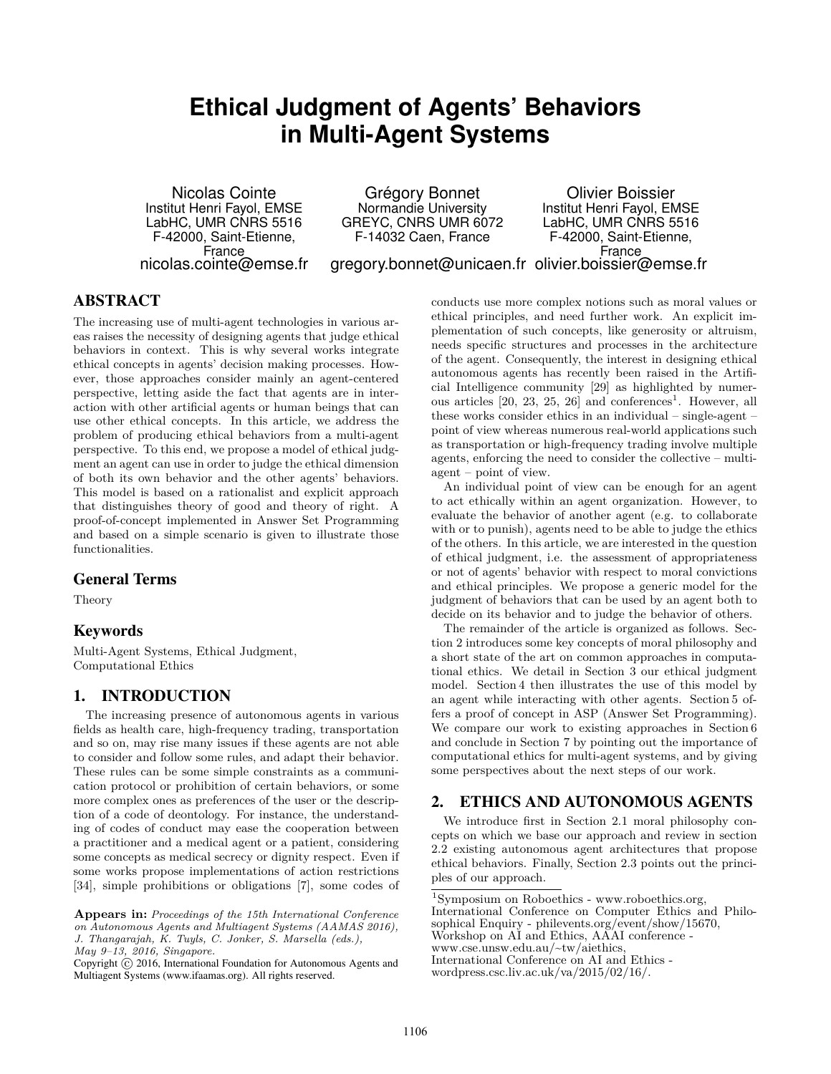# **Ethical Judgment of Agents' Behaviors in Multi-Agent Systems**

Nicolas Cointe Institut Henri Fayol, EMSE LabHC, UMR CNRS 5516 F-42000, Saint-Etienne, France nicolas.cointe@emse.fr

Grégory Bonnet Normandie University GREYC, CNRS UMR 6072 F-14032 Caen, France gregory.bonnet@unicaen.fr olivier.boissier@emse.fr Olivier Boissier Institut Henri Fayol, EMSE LabHC, UMR CNRS 5516 F-42000, Saint-Etienne, France

# **ABSTRACT**

The increasing use of multi-agent technologies in various areas raises the necessity of designing agents that judge ethical behaviors in context. This is why several works integrate ethical concepts in agents' decision making processes. However, those approaches consider mainly an agent-centered perspective, letting aside the fact that agents are in interaction with other artificial agents or human beings that can use other ethical concepts. In this article, we address the problem of producing ethical behaviors from a multi-agent perspective. To this end, we propose a model of ethical judgment an agent can use in order to judge the ethical dimension of both its own behavior and the other agents' behaviors. This model is based on a rationalist and explicit approach that distinguishes theory of good and theory of right. A proof-of-concept implemented in Answer Set Programming and based on a simple scenario is given to illustrate those functionalities.

## General Terms

Theory

## Keywords

Multi-Agent Systems, Ethical Judgment, Computational Ethics

# 1. INTRODUCTION

The increasing presence of autonomous agents in various fields as health care, high-frequency trading, transportation and so on, may rise many issues if these agents are not able to consider and follow some rules, and adapt their behavior. These rules can be some simple constraints as a communication protocol or prohibition of certain behaviors, or some more complex ones as preferences of the user or the description of a code of deontology. For instance, the understanding of codes of conduct may ease the cooperation between a practitioner and a medical agent or a patient, considering some concepts as medical secrecy or dignity respect. Even if some works propose implementations of action restrictions [\[34\]](#page-8-0), simple prohibitions or obligations [\[7\]](#page-7-0), some codes of

**Appears in:** *Proceedings of the 15th International Conference on Autonomous Agents and Multiagent Systems (AAMAS 2016), J. Thangarajah, K. Tuyls, C. Jonker, S. Marsella (eds.), May 9–13, 2016, Singapore.*

Copyright (c) 2016, International Foundation for Autonomous Agents and Multiagent Systems (www.ifaamas.org). All rights reserved.

conducts use more complex notions such as moral values or ethical principles, and need further work. An explicit implementation of such concepts, like generosity or altruism, needs specific structures and processes in the architecture of the agent. Consequently, the interest in designing ethical autonomous agents has recently been raised in the Artificial Intelligence community [\[29\]](#page-8-1) as highlighted by numerous articles  $[20, 23, 25, 26]$  $[20, 23, 25, 26]$  $[20, 23, 25, 26]$  $[20, 23, 25, 26]$  and conferences<sup>[1](#page-0-0)</sup>. However, all these works consider ethics in an individual – single-agent – point of view whereas numerous real-world applications such as transportation or high-frequency trading involve multiple agents, enforcing the need to consider the collective – multiagent – point of view.

An individual point of view can be enough for an agent to act ethically within an agent organization. However, to evaluate the behavior of another agent (e.g. to collaborate with or to punish), agents need to be able to judge the ethics of the others. In this article, we are interested in the question of ethical judgment, i.e. the assessment of appropriateness or not of agents' behavior with respect to moral convictions and ethical principles. We propose a generic model for the judgment of behaviors that can be used by an agent both to decide on its behavior and to judge the behavior of others.

The remainder of the article is organized as follows. Section [2](#page-0-1) introduces some key concepts of moral philosophy and a short state of the art on common approaches in computational ethics. We detail in Section [3](#page-2-0) our ethical judgment model. Section [4](#page-4-0) then illustrates the use of this model by an agent while interacting with other agents. Section [5](#page-5-0) offers a proof of concept in ASP (Answer Set Programming). We compare our work to existing approaches in Section [6](#page-7-1) and conclude in Section [7](#page-7-2) by pointing out the importance of computational ethics for multi-agent systems, and by giving some perspectives about the next steps of our work.

## <span id="page-0-1"></span>2. ETHICS AND AUTONOMOUS AGENTS

We introduce first in Section [2.1](#page-1-0) moral philosophy concepts on which we base our approach and review in section [2.2](#page-1-1) existing autonomous agent architectures that propose ethical behaviors. Finally, Section [2.3](#page-2-1) points out the principles of our approach.

<span id="page-0-0"></span><sup>1</sup>Symposium on Roboethics - [www.roboethics.org,](http://www.roboethics.org/)

International Conference on Computer Ethics and Philosophical Enquiry - [philevents.org/event/show/15670,](http://philevents.org/event/show/15670)

Workshop on AI and Ethics, AAAI conference -

[www.cse.unsw.edu.au/~tw/aiethics,](http://www.cse.unsw.edu.au/~tw/aiethics)

International Conference on AI and Ethics -

[wordpress.csc.liv.ac.uk/va/2015/02/16/.](http://wordpress.csc.liv.ac.uk/va/2015/02/16/1st-international-conference-on-ai-and-ethics/)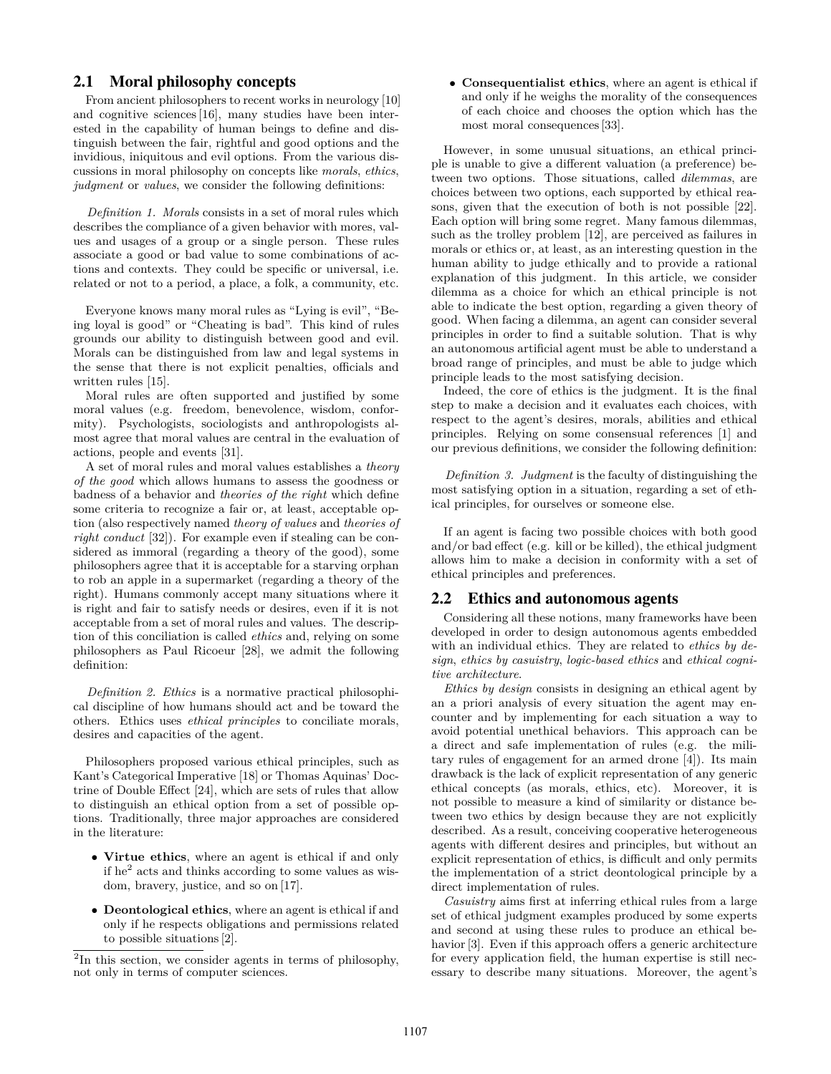## <span id="page-1-0"></span>2.1 Moral philosophy concepts

From ancient philosophers to recent works in neurology [\[10\]](#page-7-3) and cognitive sciences [\[16\]](#page-8-6), many studies have been interested in the capability of human beings to define and distinguish between the fair, rightful and good options and the invidious, iniquitous and evil options. From the various discussions in moral philosophy on concepts like *morals*, *ethics*, *judgment* or *values*, we consider the following definitions:

*Definition 1. Morals* consists in a set of moral rules which describes the compliance of a given behavior with mores, values and usages of a group or a single person. These rules associate a good or bad value to some combinations of actions and contexts. They could be specific or universal, i.e. related or not to a period, a place, a folk, a community, etc.

Everyone knows many moral rules as "Lying is evil", "Being loyal is good" or "Cheating is bad". This kind of rules grounds our ability to distinguish between good and evil. Morals can be distinguished from law and legal systems in the sense that there is not explicit penalties, officials and written rules [\[15\]](#page-8-7).

Moral rules are often supported and justified by some moral values (e.g. freedom, benevolence, wisdom, conformity). Psychologists, sociologists and anthropologists almost agree that moral values are central in the evaluation of actions, people and events [\[31\]](#page-8-8).

A set of moral rules and moral values establishes a *theory of the good* which allows humans to assess the goodness or badness of a behavior and *theories of the right* which define some criteria to recognize a fair or, at least, acceptable option (also respectively named *theory of values* and *theories of right conduct* [\[32\]](#page-8-9)). For example even if stealing can be considered as immoral (regarding a theory of the good), some philosophers agree that it is acceptable for a starving orphan to rob an apple in a supermarket (regarding a theory of the right). Humans commonly accept many situations where it is right and fair to satisfy needs or desires, even if it is not acceptable from a set of moral rules and values. The description of this conciliation is called *ethics* and, relying on some philosophers as Paul Ricoeur [\[28\]](#page-8-10), we admit the following definition:

*Definition 2. Ethics* is a normative practical philosophical discipline of how humans should act and be toward the others. Ethics uses *ethical principles* to conciliate morals, desires and capacities of the agent.

Philosophers proposed various ethical principles, such as Kant's Categorical Imperative [\[18\]](#page-8-11) or Thomas Aquinas' Doctrine of Double Effect [\[24\]](#page-8-12), which are sets of rules that allow to distinguish an ethical option from a set of possible options. Traditionally, three major approaches are considered in the literature:

- **Virtue ethics**, where an agent is ethical if and only if he<sup>[2](#page-1-2)</sup> acts and thinks according to some values as wisdom, bravery, justice, and so on [\[17\]](#page-8-13).
- **Deontological ethics**, where an agent is ethical if and only if he respects obligations and permissions related to possible situations [\[2\]](#page-7-4).

• **Consequentialist ethics**, where an agent is ethical if and only if he weighs the morality of the consequences of each choice and chooses the option which has the most moral consequences [\[33\]](#page-8-14).

However, in some unusual situations, an ethical principle is unable to give a different valuation (a preference) between two options. Those situations, called *dilemmas*, are choices between two options, each supported by ethical reasons, given that the execution of both is not possible [\[22\]](#page-8-15). Each option will bring some regret. Many famous dilemmas, such as the trolley problem [\[12\]](#page-7-5), are perceived as failures in morals or ethics or, at least, as an interesting question in the human ability to judge ethically and to provide a rational explanation of this judgment. In this article, we consider dilemma as a choice for which an ethical principle is not able to indicate the best option, regarding a given theory of good. When facing a dilemma, an agent can consider several principles in order to find a suitable solution. That is why an autonomous artificial agent must be able to understand a broad range of principles, and must be able to judge which principle leads to the most satisfying decision.

Indeed, the core of ethics is the judgment. It is the final step to make a decision and it evaluates each choices, with respect to the agent's desires, morals, abilities and ethical principles. Relying on some consensual references [\[1\]](#page-7-6) and our previous definitions, we consider the following definition:

*Definition 3. Judgment* is the faculty of distinguishing the most satisfying option in a situation, regarding a set of ethical principles, for ourselves or someone else.

If an agent is facing two possible choices with both good and/or bad effect (e.g. kill or be killed), the ethical judgment allows him to make a decision in conformity with a set of ethical principles and preferences.

## <span id="page-1-1"></span>2.2 Ethics and autonomous agents

Considering all these notions, many frameworks have been developed in order to design autonomous agents embedded with an individual ethics. They are related to *ethics by design*, *ethics by casuistry*, *logic-based ethics* and *ethical cognitive architecture*.

*Ethics by design* consists in designing an ethical agent by an a priori analysis of every situation the agent may encounter and by implementing for each situation a way to avoid potential unethical behaviors. This approach can be a direct and safe implementation of rules (e.g. the military rules of engagement for an armed drone [\[4\]](#page-7-7)). Its main drawback is the lack of explicit representation of any generic ethical concepts (as morals, ethics, etc). Moreover, it is not possible to measure a kind of similarity or distance between two ethics by design because they are not explicitly described. As a result, conceiving cooperative heterogeneous agents with different desires and principles, but without an explicit representation of ethics, is difficult and only permits the implementation of a strict deontological principle by a direct implementation of rules.

*Casuistry* aims first at inferring ethical rules from a large set of ethical judgment examples produced by some experts and second at using these rules to produce an ethical be-havior [\[3\]](#page-7-8). Even if this approach offers a generic architecture for every application field, the human expertise is still necessary to describe many situations. Moreover, the agent's

<span id="page-1-2"></span><sup>&</sup>lt;sup>2</sup>In this section, we consider agents in terms of philosophy, not only in terms of computer sciences.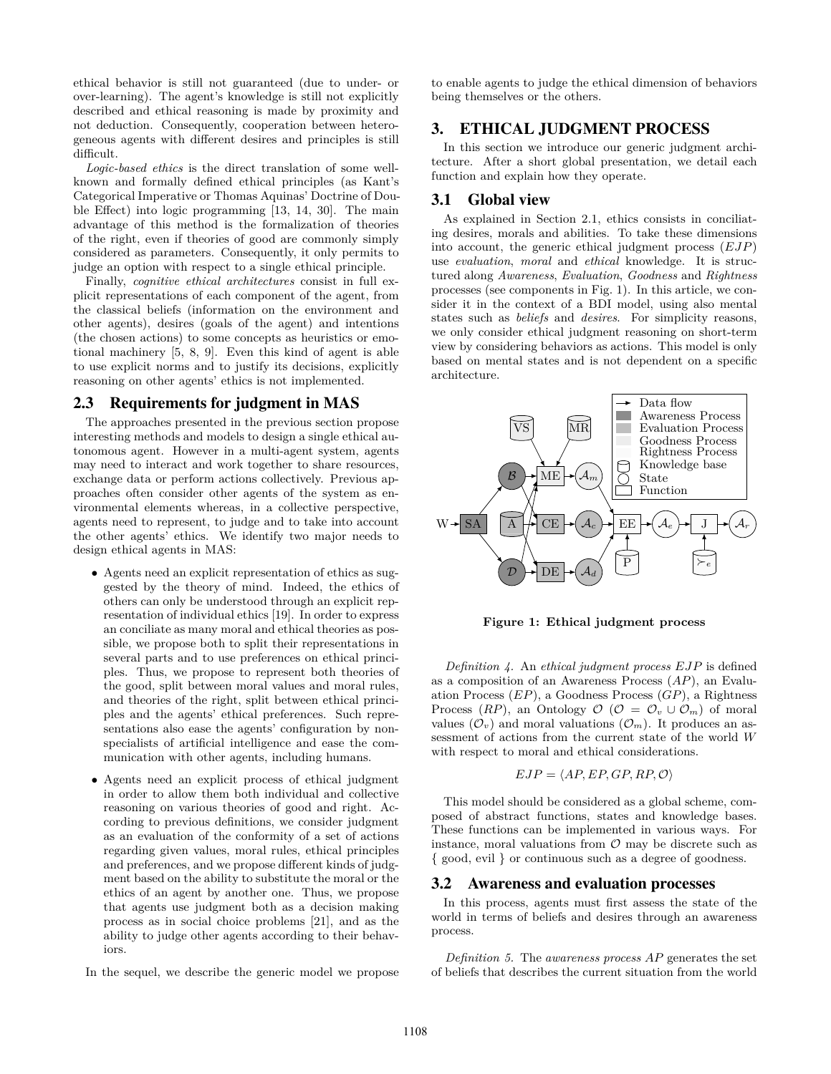ethical behavior is still not guaranteed (due to under- or over-learning). The agent's knowledge is still not explicitly described and ethical reasoning is made by proximity and not deduction. Consequently, cooperation between heterogeneous agents with different desires and principles is still difficult.

*Logic-based ethics* is the direct translation of some wellknown and formally defined ethical principles (as Kant's Categorical Imperative or Thomas Aquinas' Doctrine of Double Effect) into logic programming [\[13,](#page-7-9) [14,](#page-8-16) [30\]](#page-8-17). The main advantage of this method is the formalization of theories of the right, even if theories of good are commonly simply considered as parameters. Consequently, it only permits to judge an option with respect to a single ethical principle.

Finally, *cognitive ethical architectures* consist in full explicit representations of each component of the agent, from the classical beliefs (information on the environment and other agents), desires (goals of the agent) and intentions (the chosen actions) to some concepts as heuristics or emotional machinery [\[5,](#page-7-10) [8,](#page-7-11) [9\]](#page-7-12). Even this kind of agent is able to use explicit norms and to justify its decisions, explicitly reasoning on other agents' ethics is not implemented.

## <span id="page-2-1"></span>2.3 Requirements for judgment in MAS

The approaches presented in the previous section propose interesting methods and models to design a single ethical autonomous agent. However in a multi-agent system, agents may need to interact and work together to share resources, exchange data or perform actions collectively. Previous approaches often consider other agents of the system as environmental elements whereas, in a collective perspective, agents need to represent, to judge and to take into account the other agents' ethics. We identify two major needs to design ethical agents in MAS:

- Agents need an explicit representation of ethics as suggested by the theory of mind. Indeed, the ethics of others can only be understood through an explicit representation of individual ethics [\[19\]](#page-8-18). In order to express an conciliate as many moral and ethical theories as possible, we propose both to split their representations in several parts and to use preferences on ethical principles. Thus, we propose to represent both theories of the good, split between moral values and moral rules, and theories of the right, split between ethical principles and the agents' ethical preferences. Such representations also ease the agents' configuration by nonspecialists of artificial intelligence and ease the communication with other agents, including humans.
- Agents need an explicit process of ethical judgment in order to allow them both individual and collective reasoning on various theories of good and right. According to previous definitions, we consider judgment as an evaluation of the conformity of a set of actions regarding given values, moral rules, ethical principles and preferences, and we propose different kinds of judgment based on the ability to substitute the moral or the ethics of an agent by another one. Thus, we propose that agents use judgment both as a decision making process as in social choice problems [\[21\]](#page-8-19), and as the ability to judge other agents according to their behaviors.
- In the sequel, we describe the generic model we propose

to enable agents to judge the ethical dimension of behaviors being themselves or the others.

## <span id="page-2-0"></span>3. ETHICAL JUDGMENT PROCESS

In this section we introduce our generic judgment architecture. After a short global presentation, we detail each function and explain how they operate.

# 3.1 Global view

As explained in Section [2.1,](#page-1-0) ethics consists in conciliating desires, morals and abilities. To take these dimensions into account, the generic ethical judgment process (*EJP*) use *evaluation*, *moral* and *ethical* knowledge. It is structured along *Awareness*, *Evaluation*, *Goodness* and *Rightness* processes (see components in Fig. [1\)](#page-2-2). In this article, we consider it in the context of a BDI model, using also mental states such as *beliefs* and *desires*. For simplicity reasons, we only consider ethical judgment reasoning on short-term view by considering behaviors as actions. This model is only based on mental states and is not dependent on a specific architecture.



<span id="page-2-2"></span>**Figure 1: Ethical judgment process**

*Definition 4.* An *ethical judgment process EJP* is defined as a composition of an Awareness Process (*AP*), an Evaluation Process (*EP*), a Goodness Process (*GP*), a Rightness Process  $(RP)$ , an Ontology  $\mathcal{O}$  ( $\mathcal{O} = \mathcal{O}_v \cup \mathcal{O}_m$ ) of moral values  $(\mathcal{O}_v)$  and moral valuations  $(\mathcal{O}_m)$ . It produces an assessment of actions from the current state of the world *W* with respect to moral and ethical considerations.

$$
EJP = \langle AP, EP, GP, RP, O \rangle
$$

This model should be considered as a global scheme, composed of abstract functions, states and knowledge bases. These functions can be implemented in various ways. For instance, moral valuations from  $\mathcal O$  may be discrete such as { good, evil } or continuous such as a degree of goodness.

#### 3.2 Awareness and evaluation processes

In this process, agents must first assess the state of the world in terms of beliefs and desires through an awareness process.

*Definition 5.* The *awareness process AP* generates the set of beliefs that describes the current situation from the world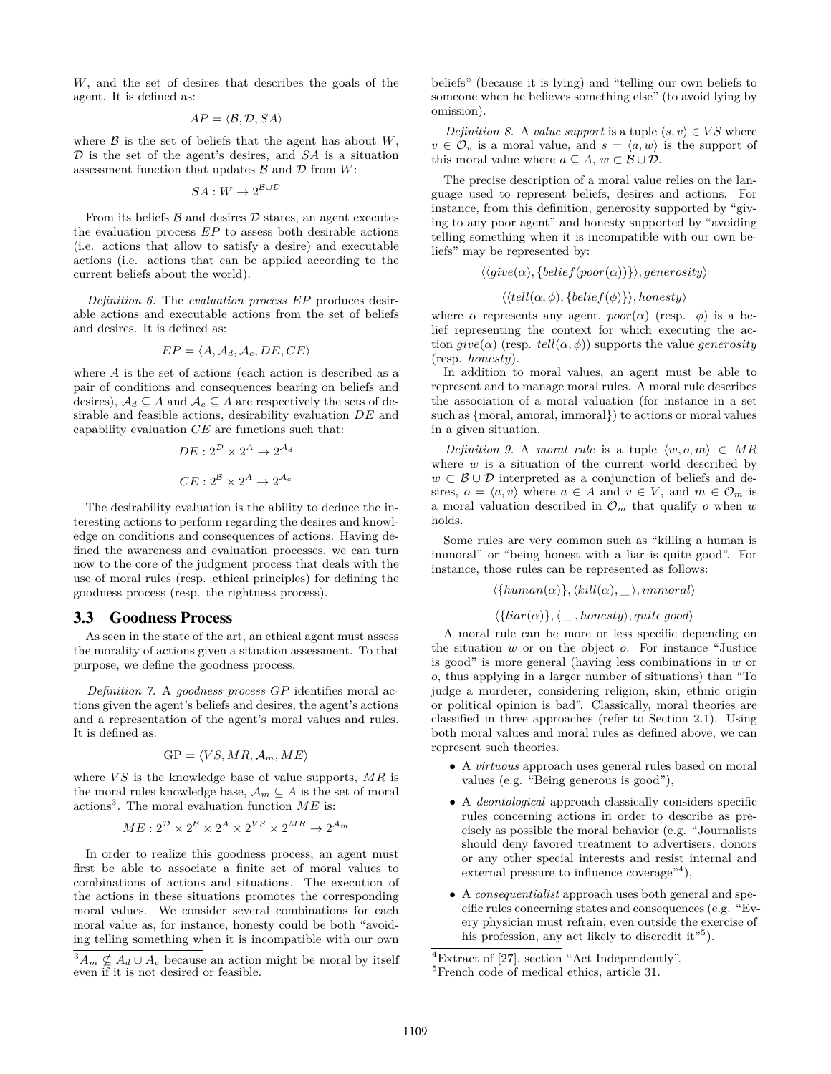*W*, and the set of desires that describes the goals of the agent. It is defined as:

$$
AP = \langle \mathcal{B}, \mathcal{D}, SA \rangle
$$

where  $\beta$  is the set of beliefs that the agent has about  $W$ , D is the set of the agent's desires, and *SA* is a situation assessment function that updates  $\mathcal{B}$  and  $\mathcal{D}$  from  $W$ :

$$
SA:W\to 2^{\mathcal{B}\cup\mathcal{D}}
$$

From its beliefs  $\beta$  and desires  $\mathcal D$  states, an agent executes the evaluation process *EP* to assess both desirable actions (i.e. actions that allow to satisfy a desire) and executable actions (i.e. actions that can be applied according to the current beliefs about the world).

<span id="page-3-3"></span>*Definition 6.* The *evaluation process EP* produces desirable actions and executable actions from the set of beliefs and desires. It is defined as:

$$
EP = \langle A, \mathcal{A}_d, \mathcal{A}_c, DE, CE \rangle
$$

where *A* is the set of actions (each action is described as a pair of conditions and consequences bearing on beliefs and desires),  $A_d \subseteq A$  and  $A_c \subseteq A$  are respectively the sets of desirable and feasible actions, desirability evaluation *DE* and capability evaluation *CE* are functions such that:

$$
DE: 2^{\mathcal{D}} \times 2^A \to 2^{\mathcal{A}_d}
$$

$$
CE: 2^{\mathcal{B}} \times 2^A \to 2^{\mathcal{A}_c}
$$

The desirability evaluation is the ability to deduce the interesting actions to perform regarding the desires and knowledge on conditions and consequences of actions. Having defined the awareness and evaluation processes, we can turn now to the core of the judgment process that deals with the use of moral rules (resp. ethical principles) for defining the goodness process (resp. the rightness process).

## <span id="page-3-4"></span>3.3 Goodness Process

As seen in the state of the art, an ethical agent must assess the morality of actions given a situation assessment. To that purpose, we define the goodness process.

*Definition 7.* A *goodness process GP* identifies moral actions given the agent's beliefs and desires, the agent's actions and a representation of the agent's moral values and rules. It is defined as:

$$
GP = \langle VS, MR, \mathcal{A}_m, ME \rangle
$$

where *V S* is the knowledge base of value supports, *MR* is the moral rules knowledge base,  $\mathcal{A}_m \subseteq A$  is the set of moral actions[3](#page-3-0) . The moral evaluation function *ME* is:

$$
ME: 2^{\mathcal{D}} \times 2^{\mathcal{B}} \times 2^A \times 2^{VS} \times 2^{MR} \rightarrow 2^{\mathcal{A}_m}
$$

In order to realize this goodness process, an agent must first be able to associate a finite set of moral values to combinations of actions and situations. The execution of the actions in these situations promotes the corresponding moral values. We consider several combinations for each moral value as, for instance, honesty could be both "avoiding telling something when it is incompatible with our own

<span id="page-3-0"></span> ${}^3A_m \nsubseteq A_d \cup A_c$  because an action might be moral by itself even if it is not desired or feasible.

beliefs" (because it is lying) and "telling our own beliefs to someone when he believes something else" (to avoid lying by omission).

*Definition 8.* A *value support* is a tuple  $\langle s, v \rangle \in VS$  where  $v \in \mathcal{O}_v$  is a moral value, and  $s = \langle a, w \rangle$  is the support of this moral value where  $a \subseteq A$ ,  $w \subset B \cup D$ .

The precise description of a moral value relies on the language used to represent beliefs, desires and actions. For instance, from this definition, generosity supported by "giving to any poor agent" and honesty supported by "avoiding telling something when it is incompatible with our own beliefs" may be represented by:

$$
\langle \langle give(\alpha), \{belief(poor(\alpha))\} \rangle, generosity \rangle
$$
  

$$
\langle \langle tell(\alpha, \phi), \{belief(\phi)\} \rangle, honesty \rangle
$$
  
nonsecents, aux search, nosc( $\alpha$ ) (rscr)

where  $\alpha$  represents any agent,  $poor(\alpha)$  (resp.  $\phi$ ) is a belief representing the context for which executing the action  $give(\alpha)$  (resp.  $tell(\alpha, \phi)$ ) supports the value *generosity* (resp. *honesty*).

In addition to moral values, an agent must be able to represent and to manage moral rules. A moral rule describes the association of a moral valuation (for instance in a set such as {moral, amoral, immoral}) to actions or moral values in a given situation.

*Definition 9.* A *moral rule* is a tuple  $\langle w, o, m \rangle \in MR$ where *w* is a situation of the current world described by *w* ⊂  $\mathcal{B} \cup \mathcal{D}$  interpreted as a conjunction of beliefs and desires,  $o = \langle a, v \rangle$  where  $a \in A$  and  $v \in V$ , and  $m \in \mathcal{O}_m$  is a moral valuation described in  $\mathcal{O}_m$  that qualify  $o$  when  $w$ holds.

Some rules are very common such as "killing a human is immoral" or "being honest with a liar is quite good". For instance, those rules can be represented as follows:

$$
\langle \{human(\alpha)\}, \langle kill(\alpha), \_\rangle, immoral \rangle
$$
  

$$
\langle \{ liar(\alpha)\}, \_\_, honesty \rangle, quite\ good \rangle
$$

A moral rule can be more or less specific depending on the situation *w* or on the object *o*. For instance "Justice is good" is more general (having less combinations in *w* or *o*, thus applying in a larger number of situations) than "To judge a murderer, considering religion, skin, ethnic origin or political opinion is bad". Classically, moral theories are classified in three approaches (refer to Section [2.1\)](#page-1-0). Using both moral values and moral rules as defined above, we can represent such theories.

- A *virtuous* approach uses general rules based on moral values (e.g. "Being generous is good"),
- A *deontological* approach classically considers specific rules concerning actions in order to describe as precisely as possible the moral behavior (e.g. "Journalists should deny favored treatment to advertisers, donors or any other special interests and resist internal and external pressure to influence coverage<sup>"[4](#page-3-1)</sup>),
- A *consequentialist* approach uses both general and specific rules concerning states and consequences (e.g. "Every physician must refrain, even outside the exercise of his profession, any act likely to discredit it"<sup>[5](#page-3-2)</sup>).

<span id="page-3-1"></span><sup>4</sup>Extract of [\[27\]](#page-8-20), section "Act Independently".

<span id="page-3-2"></span><sup>5</sup>French code of medical ethics, article 31.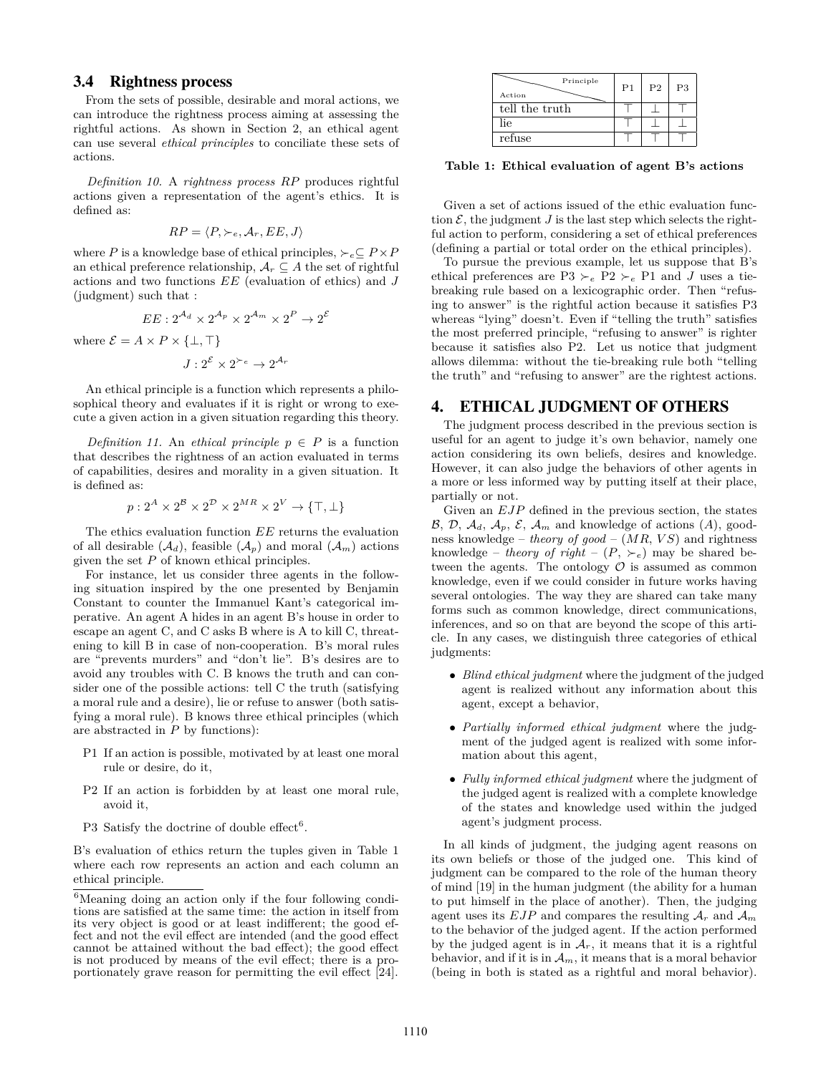## 3.4 Rightness process

From the sets of possible, desirable and moral actions, we can introduce the rightness process aiming at assessing the rightful actions. As shown in Section [2,](#page-0-1) an ethical agent can use several *ethical principles* to conciliate these sets of actions.

*Definition 10.* A *rightness process RP* produces rightful actions given a representation of the agent's ethics. It is defined as:

$$
RP = \langle P, \succ_e, \mathcal{A}_r, EE, J \rangle
$$

where *P* is a knowledge base of ethical principles,  $\succ_e \subseteq P \times P$ an ethical preference relationship,  $A_r \subseteq A$  the set of rightful actions and two functions *EE* (evaluation of ethics) and *J* (judgment) such that :

$$
EE: 2^{\mathcal{A}_d} \times 2^{\mathcal{A}_p} \times 2^{\mathcal{A}_m} \times 2^P \to 2^{\mathcal{E}}
$$

where  $\mathcal{E} = A \times P \times \{\perp, \top\}$ 

$$
J:2^{\mathcal{E}}\times 2^{\succ_e} \rightarrow 2^{\mathcal{A}_r}
$$

An ethical principle is a function which represents a philosophical theory and evaluates if it is right or wrong to execute a given action in a given situation regarding this theory.

*Definition 11.* An *ethical principle*  $p \in P$  is a function that describes the rightness of an action evaluated in terms of capabilities, desires and morality in a given situation. It is defined as:

$$
p: 2^A \times 2^B \times 2^D \times 2^{MR} \times 2^V \to \{\top, \bot\}
$$

The ethics evaluation function *EE* returns the evaluation of all desirable  $(\mathcal{A}_d)$ , feasible  $(\mathcal{A}_p)$  and moral  $(\mathcal{A}_m)$  actions given the set *P* of known ethical principles.

For instance, let us consider three agents in the following situation inspired by the one presented by Benjamin Constant to counter the Immanuel Kant's categorical imperative. An agent A hides in an agent B's house in order to escape an agent C, and C asks B where is A to kill C, threatening to kill B in case of non-cooperation. B's moral rules are "prevents murders" and "don't lie". B's desires are to avoid any troubles with C. B knows the truth and can consider one of the possible actions: tell C the truth (satisfying a moral rule and a desire), lie or refuse to answer (both satisfying a moral rule). B knows three ethical principles (which are abstracted in *P* by functions):

- P1 If an action is possible, motivated by at least one moral rule or desire, do it,
- P2 If an action is forbidden by at least one moral rule, avoid it,
- P3 Satisfy the doctrine of double effect<sup>[6](#page-4-1)</sup>.

B's evaluation of ethics return the tuples given in Table [1](#page-4-2) where each row represents an action and each column an ethical principle.

| Principle<br>Action | P <sub>1</sub> | P <sub>2</sub> | P3 |
|---------------------|----------------|----------------|----|
| tell the truth      |                |                |    |
| lie                 |                |                |    |
| refuse              |                |                |    |

<span id="page-4-2"></span>**Table 1: Ethical evaluation of agent B's actions**

Given a set of actions issued of the ethic evaluation function  $\mathcal{E}$ , the judgment *J* is the last step which selects the rightful action to perform, considering a set of ethical preferences (defining a partial or total order on the ethical principles).

To pursue the previous example, let us suppose that B's ethical preferences are P3  $\vucceq_e$  P2  $\vucceq_e$  P1 and *J* uses a tiebreaking rule based on a lexicographic order. Then "refusing to answer" is the rightful action because it satisfies P3 whereas "lying" doesn't. Even if "telling the truth" satisfies the most preferred principle, "refusing to answer" is righter because it satisfies also P2. Let us notice that judgment allows dilemma: without the tie-breaking rule both "telling the truth" and "refusing to answer" are the rightest actions.

#### <span id="page-4-0"></span>4. ETHICAL JUDGMENT OF OTHERS

The judgment process described in the previous section is useful for an agent to judge it's own behavior, namely one action considering its own beliefs, desires and knowledge. However, it can also judge the behaviors of other agents in a more or less informed way by putting itself at their place, partially or not.

Given an *EJP* defined in the previous section, the states  $\mathcal{B}, \mathcal{D}, \mathcal{A}_d, \mathcal{A}_p, \mathcal{E}, \mathcal{A}_m$  and knowledge of actions  $(A)$ , goodness knowledge – *theory of good* – (*MR*, *V S*) and rightness knowledge – *theory of right* –  $(P, \succ_e)$  may be shared between the agents. The ontology  $\mathcal O$  is assumed as common knowledge, even if we could consider in future works having several ontologies. The way they are shared can take many forms such as common knowledge, direct communications, inferences, and so on that are beyond the scope of this article. In any cases, we distinguish three categories of ethical judgments:

- *Blind ethical judgment* where the judgment of the judged agent is realized without any information about this agent, except a behavior,
- *Partially informed ethical judgment* where the judgment of the judged agent is realized with some information about this agent,
- *Fully informed ethical judgment* where the judgment of the judged agent is realized with a complete knowledge of the states and knowledge used within the judged agent's judgment process.

In all kinds of judgment, the judging agent reasons on its own beliefs or those of the judged one. This kind of judgment can be compared to the role of the human theory of mind [\[19\]](#page-8-18) in the human judgment (the ability for a human to put himself in the place of another). Then, the judging agent uses its  $EJP$  and compares the resulting  $A_r$  and  $A_m$ to the behavior of the judged agent. If the action performed by the judged agent is in  $A_r$ , it means that it is a rightful behavior, and if it is in  $\mathcal{A}_m$ , it means that is a moral behavior (being in both is stated as a rightful and moral behavior).

<span id="page-4-1"></span> ${}^{6}$ Meaning doing an action only if the four following conditions are satisfied at the same time: the action in itself from its very object is good or at least indifferent; the good effect and not the evil effect are intended (and the good effect cannot be attained without the bad effect); the good effect is not produced by means of the evil effect; there is a proportionately grave reason for permitting the evil effect [\[24\]](#page-8-12).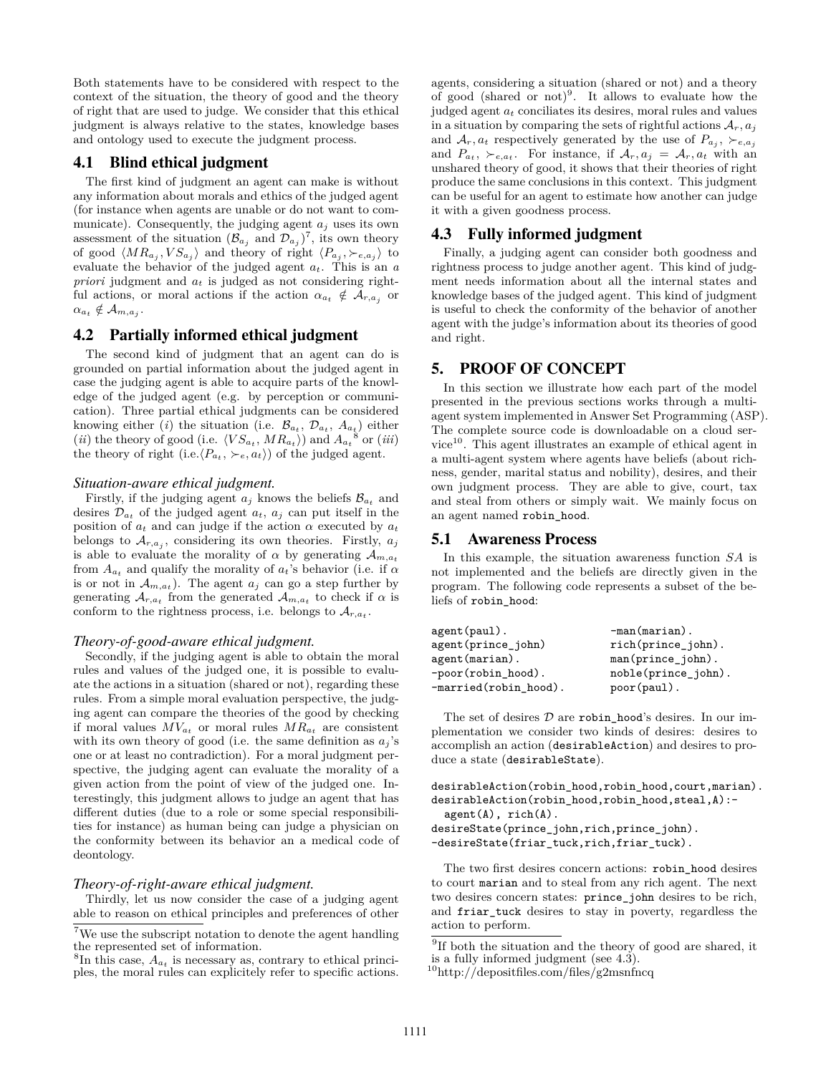Both statements have to be considered with respect to the context of the situation, the theory of good and the theory of right that are used to judge. We consider that this ethical judgment is always relative to the states, knowledge bases and ontology used to execute the judgment process.

# 4.1 Blind ethical judgment

The first kind of judgment an agent can make is without any information about morals and ethics of the judged agent (for instance when agents are unable or do not want to communicate). Consequently, the judging agent  $a_j$  uses its own assessment of the situation  $(\mathcal{B}_{a_j}$  and  $(\mathcal{D}_{a_j})^7$  $(\mathcal{D}_{a_j})^7$ , its own theory of good  $\langle MR_{a_j}, VS_{a_j}\rangle$  and theory of right  $\langle P_{a_j}, \succ_{e, a_j}\rangle$  to evaluate the behavior of the judged agent *at*. This is an *a priori* judgment and *a<sup>t</sup>* is judged as not considering rightful actions, or moral actions if the action  $\alpha_{a_t} \notin \mathcal{A}_{r,a_j}$  or  $\alpha_{a_t} \notin \mathcal{A}_{m,a_j}.$ 

## 4.2 Partially informed ethical judgment

The second kind of judgment that an agent can do is grounded on partial information about the judged agent in case the judging agent is able to acquire parts of the knowledge of the judged agent (e.g. by perception or communication). Three partial ethical judgments can be considered knowing either (*i*) the situation (i.e.  $\mathcal{B}_{a_t}, \mathcal{D}_{a_t}, A_{a_t}$ ) either (*ii*) the theory of good (i.e.  $\langle VS_{a_t}, MR_{a_t}\rangle$ ) and  $A_{a_t}^8$  $A_{a_t}^8$  or (*iii*) the theory of right (i.e. $\langle P_{a_t}, \succ_e, a_t \rangle$ ) of the judged agent.

#### *Situation-aware ethical judgment.*

Firstly, if the judging agent  $a_j$  knows the beliefs  $\mathcal{B}_{a_t}$  and desires  $\mathcal{D}_{a_t}$  of the judged agent  $a_t$ ,  $a_j$  can put itself in the position of  $a_t$  and can judge if the action  $\alpha$  executed by  $a_t$ belongs to  $\mathcal{A}_{r,a_j}$ , considering its own theories. Firstly,  $a_j$ is able to evaluate the morality of  $\alpha$  by generating  $\mathcal{A}_{m,a_t}$ from  $A_{a}$  and qualify the morality of  $a_t$ 's behavior (i.e. if  $\alpha$ is or not in  $A_{m,a_t}$ ). The agent  $a_j$  can go a step further by generating  $A_{r,a_t}$  from the generated  $A_{m,a_t}$  to check if  $\alpha$  is conform to the rightness process, i.e. belongs to  $A_{r,a_t}$ .

#### *Theory-of-good-aware ethical judgment.*

Secondly, if the judging agent is able to obtain the moral rules and values of the judged one, it is possible to evaluate the actions in a situation (shared or not), regarding these rules. From a simple moral evaluation perspective, the judging agent can compare the theories of the good by checking if moral values  $MV_{a_t}$  or moral rules  $MR_{a_t}$  are consistent with its own theory of good (i.e. the same definition as  $a_j$ 's one or at least no contradiction). For a moral judgment perspective, the judging agent can evaluate the morality of a given action from the point of view of the judged one. Interestingly, this judgment allows to judge an agent that has different duties (due to a role or some special responsibilities for instance) as human being can judge a physician on the conformity between its behavior an a medical code of deontology.

#### *Theory-of-right-aware ethical judgment.*

Thirdly, let us now consider the case of a judging agent able to reason on ethical principles and preferences of other

agents, considering a situation (shared or not) and a theory of good (shared or not)<sup>[9](#page-5-3)</sup>. It allows to evaluate how the judged agent *a<sup>t</sup>* conciliates its desires, moral rules and values in a situation by comparing the sets of rightful actions  $A_r$ ,  $a_j$ and  $A_r$ ,  $a_t$  respectively generated by the use of  $P_{a_j}$ ,  $\succ_{e, a_j}$ and  $P_{a_t}$ ,  $\vucceq_{e,a_t}$ . For instance, if  $\mathcal{A}_r$ ,  $a_j = \mathcal{A}_r$ ,  $a_t$  with an unshared theory of good, it shows that their theories of right produce the same conclusions in this context. This judgment can be useful for an agent to estimate how another can judge it with a given goodness process.

# <span id="page-5-5"></span>4.3 Fully informed judgment

Finally, a judging agent can consider both goodness and rightness process to judge another agent. This kind of judgment needs information about all the internal states and knowledge bases of the judged agent. This kind of judgment is useful to check the conformity of the behavior of another agent with the judge's information about its theories of good and right.

## <span id="page-5-0"></span>5. PROOF OF CONCEPT

In this section we illustrate how each part of the model presented in the previous sections works through a multiagent system implemented in Answer Set Programming (ASP). The complete source code is downloadable on a cloud ser- $vice<sup>10</sup>$  $vice<sup>10</sup>$  $vice<sup>10</sup>$ . This agent illustrates an example of ethical agent in a multi-agent system where agents have beliefs (about richness, gender, marital status and nobility), desires, and their own judgment process. They are able to give, court, tax and steal from others or simply wait. We mainly focus on an agent named robin\_hood.

#### 5.1 Awareness Process

In this example, the situation awareness function *SA* is not implemented and the beliefs are directly given in the program. The following code represents a subset of the beliefs of robin\_hood:

| agent(paul).              | $-man(maxian)$ .      |
|---------------------------|-----------------------|
| agent(prince_john)        | rich(prince_john).    |
| agent(marian).            | $man(prince\_john)$ . |
| -poor(robin_hood).        | noble(prince_john).   |
| $-married(robin\_hood)$ . | poor(paul).           |

The set of desires  $D$  are robin\_hood's desires. In our implementation we consider two kinds of desires: desires to accomplish an action (desirableAction) and desires to produce a state (desirableState).

```
desirableAction(robin_hood,robin_hood,court,marian).
desirableAction(robin_hood,robin_hood,steal,A):-
  agent(A), rich(A).
desireState(prince_john,rich,prince_john).
-desireState(friar_tuck,rich,friar_tuck).
```
The two first desires concern actions: robin\_hood desires to court marian and to steal from any rich agent. The next two desires concern states: prince\_john desires to be rich, and friar\_tuck desires to stay in poverty, regardless the action to perform.

<span id="page-5-1"></span><sup>&</sup>lt;sup>7</sup>We use the subscript notation to denote the agent handling the represented set of information.

<span id="page-5-2"></span> ${}^{8}$ In this case,  $A_{a_t}$  is necessary as, contrary to ethical principles, the moral rules can explicitely refer to specific actions.

<span id="page-5-3"></span><sup>&</sup>lt;sup>9</sup>If both the situation and the theory of good are shared, it is a fully informed judgment (see [4.3\)](#page-5-5).

<span id="page-5-4"></span><sup>10</sup><http://depositfiles.com/files/g2msnfncq>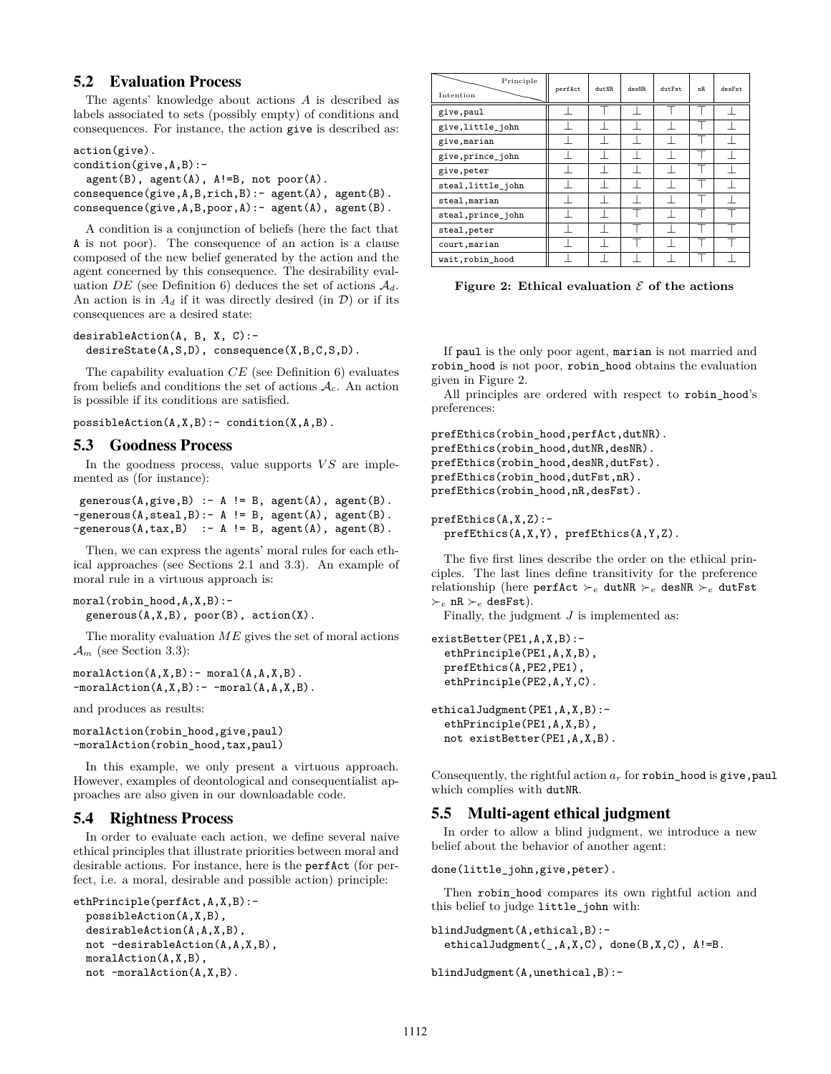# 5.2 Evaluation Process

The agents' knowledge about actions *A* is described as labels associated to sets (possibly empty) of conditions and consequences. For instance, the action give is described as:

```
action(give).
condition(give,A,B):-
   agent(B), agent(A), A!=B, not poor(A).
\mathtt{consequence}(\mathtt{give},\mathtt{A},\mathtt{B},\mathtt{rich},\mathtt{B}):-\mathtt{agent}(\mathtt{A}), \mathtt{agent}(\mathtt{B}).
consequence(give,A,B,poor,A):- agent(A), agent(B).
```
A condition is a conjunction of beliefs (here the fact that A is not poor). The consequence of an action is a clause composed of the new belief generated by the action and the agent concerned by this consequence. The desirability evaluation *DE* (see Definition [6\)](#page-3-3) deduces the set of actions  $A_d$ . An action is in  $A_d$  if it was directly desired (in  $\mathcal{D}$ ) or if its consequences are a desired state:

```
desirableAction(A, B, X, C):-
  desireState(A,S,D), consequence(X,B,C,S,D).
```
The capability evaluation *CE* (see Definition [6\)](#page-3-3) evaluates from beliefs and conditions the set of actions  $A_c$ . An action is possible if its conditions are satisfied.

 $possibleAction(A, X, B) :- condition(X, A, B)$ .

## 5.3 Goodness Process

In the goodness process, value supports  $VS$  are implemented as (for instance):

```
generous(A, give, B) :- A != B, agent(A), agent(B).-generous(A, \text{steal}, B) : - A != B, agent(A), agent(B).-generous(A, tax, B) : - A != B, agent(A), agent(B).
```
Then, we can express the agents' moral rules for each ethical approaches (see Sections [2.1](#page-1-0) and [3.3\)](#page-3-4). An example of moral rule in a virtuous approach is:

```
moral(robin_hood,A,X,B):-
  generous(A, X, B), poor(B), action(X).
```
The morality evaluation *ME* gives the set of moral actions  $\mathcal{A}_m$  (see Section [3.3\)](#page-3-4):

```
moralAction(A, X, B) :- moral(A, A, X, B).
-moralAction(A, X, B): - -moral(A, A, X, B).
```
and produces as results:

```
moralAction(robin_hood,give,paul)
-moralAction(robin hood,tax,paul)
```
In this example, we only present a virtuous approach. However, examples of deontological and consequentialist approaches are also given in our downloadable code.

## 5.4 Rightness Process

In order to evaluate each action, we define several naive ethical principles that illustrate priorities between moral and desirable actions. For instance, here is the perfAct (for perfect, i.e. a moral, desirable and possible action) principle:

```
ethPrinciple(perfAct,A,X,B):-
 possibleAction(A,X,B),
 desirableAction(A,A,X,B),
 not -desirableAction(A,A,X,B),
 moralAction(A,X,B),
 not -moralAction(A,X,B).
```

| Principle<br>Intention | perfAct | $_{\text{dut}$ <sub>NR</sub> | desNR | dut.Fst. | nR. | desFst. |
|------------------------|---------|------------------------------|-------|----------|-----|---------|
| give, paul             |         |                              |       |          |     |         |
| give, little_john      |         |                              |       |          |     |         |
| give, marian           |         |                              |       |          |     |         |
| give, prince_john      |         |                              |       |          |     |         |
| give, peter            |         |                              |       |          |     |         |
| steal, little_john     |         |                              |       |          |     |         |
| steal, marian          |         |                              |       |          |     |         |
| steal, prince_john     |         |                              |       |          |     |         |
| steal, peter           |         |                              |       |          |     |         |
| court, marian          |         |                              |       |          |     |         |
| wait, robin_hood       |         |                              |       |          |     |         |

<span id="page-6-0"></span>**Figure 2: Ethical evaluation**  $\mathcal{E}$  of the actions

If paul is the only poor agent, marian is not married and robin\_hood is not poor, robin\_hood obtains the evaluation given in Figure [2.](#page-6-0)

All principles are ordered with respect to robin hood's preferences:

prefEthics(robin\_hood,perfAct,dutNR). prefEthics(robin\_hood,dutNR,desNR). prefEthics(robin\_hood,desNR,dutFst). prefEthics(robin\_hood,dutFst,nR). prefEthics(robin\_hood,nR,desFst).

prefEthics(A,X,Z): prefEthics(A,X,Y), prefEthics(A,Y,Z).

The five first lines describe the order on the ethical principles. The last lines define transitivity for the preference relationship (here perfAct  $\vucceq_e$  dutNR  $\vucceq_e$  desNR  $\vucceq_e$  dutFst  $\varepsilon_e$  nR  $\varepsilon_e$  desFst).

Finally, the judgment *J* is implemented as:

```
existBetter(PE1,A,X,B):-
  ethPrinciple(PE1,A,X,B),
 prefEthics(A,PE2,PE1),
  ethPrinciple(PE2,A,Y,C).
ethicalJudgment(PE1,A,X,B):-
  ethPrinciple(PE1,A,X,B),
 not existBetter(PE1,A,X,B).
```
Consequently, the rightful action  $a_r$  for robin\_hood is give, paul which complies with dutNR.

# 5.5 Multi-agent ethical judgment

In order to allow a blind judgment, we introduce a new belief about the behavior of another agent:

done(little\_john,give,peter).

Then robin hood compares its own rightful action and this belief to judge little\_john with:

```
blindJudgment(A,ethical,B):-
  ethicalJudgment(_,A,X,C), done(B,X,C), A!=B.
```
blindJudgment(A,unethical,B):-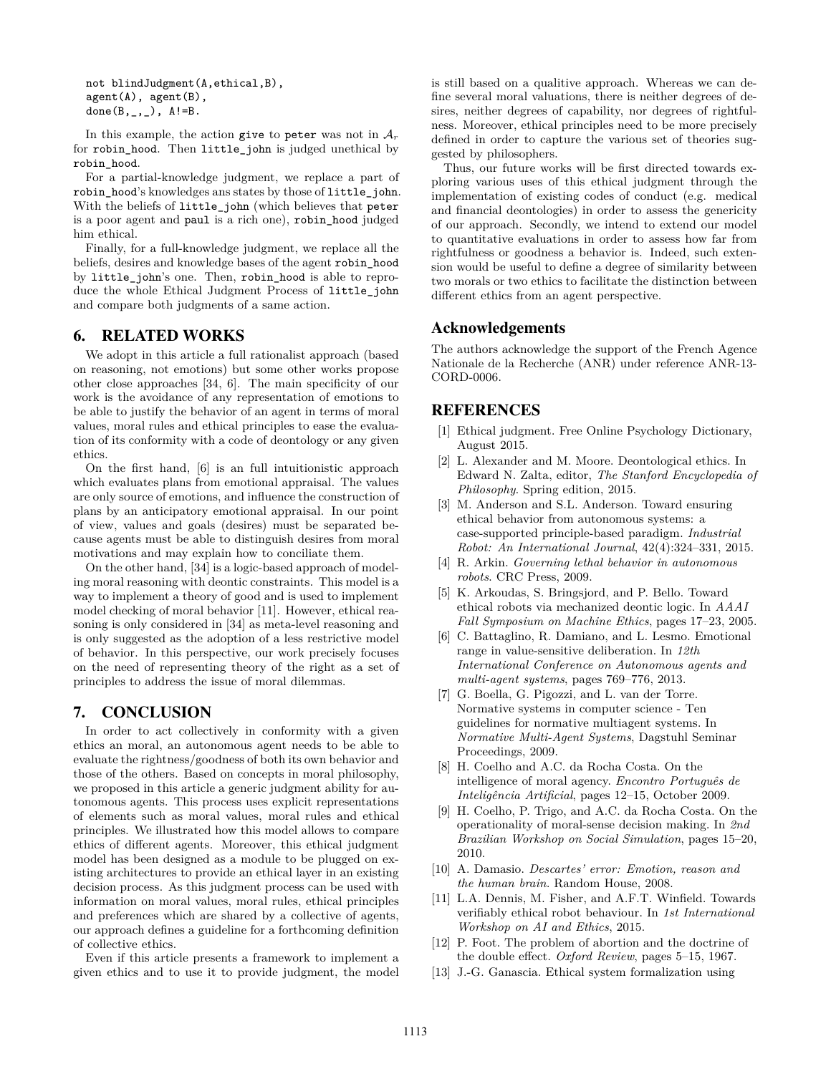```
not blindJudgment(A,ethical,B),
agent(A), agent(B),
done(B, _{-}, _{-}), A!=B.
```
In this example, the action give to peter was not in  $A_r$ for robin\_hood. Then little\_john is judged unethical by robin\_hood.

For a partial-knowledge judgment, we replace a part of robin\_hood's knowledges ans states by those of little\_john. With the beliefs of little\_john (which believes that peter is a poor agent and paul is a rich one), robin\_hood judged him ethical.

Finally, for a full-knowledge judgment, we replace all the beliefs, desires and knowledge bases of the agent robin\_hood by little\_john's one. Then, robin\_hood is able to reproduce the whole Ethical Judgment Process of little\_john and compare both judgments of a same action.

# <span id="page-7-1"></span>6. RELATED WORKS

We adopt in this article a full rationalist approach (based on reasoning, not emotions) but some other works propose other close approaches [\[34,](#page-8-0) [6\]](#page-7-13). The main specificity of our work is the avoidance of any representation of emotions to be able to justify the behavior of an agent in terms of moral values, moral rules and ethical principles to ease the evaluation of its conformity with a code of deontology or any given ethics.

On the first hand, [\[6\]](#page-7-13) is an full intuitionistic approach which evaluates plans from emotional appraisal. The values are only source of emotions, and influence the construction of plans by an anticipatory emotional appraisal. In our point of view, values and goals (desires) must be separated because agents must be able to distinguish desires from moral motivations and may explain how to conciliate them.

On the other hand, [\[34\]](#page-8-0) is a logic-based approach of modeling moral reasoning with deontic constraints. This model is a way to implement a theory of good and is used to implement model checking of moral behavior [\[11\]](#page-7-14). However, ethical reasoning is only considered in [\[34\]](#page-8-0) as meta-level reasoning and is only suggested as the adoption of a less restrictive model of behavior. In this perspective, our work precisely focuses on the need of representing theory of the right as a set of principles to address the issue of moral dilemmas.

# <span id="page-7-2"></span>7. CONCLUSION

In order to act collectively in conformity with a given ethics an moral, an autonomous agent needs to be able to evaluate the rightness/goodness of both its own behavior and those of the others. Based on concepts in moral philosophy, we proposed in this article a generic judgment ability for autonomous agents. This process uses explicit representations of elements such as moral values, moral rules and ethical principles. We illustrated how this model allows to compare ethics of different agents. Moreover, this ethical judgment model has been designed as a module to be plugged on existing architectures to provide an ethical layer in an existing decision process. As this judgment process can be used with information on moral values, moral rules, ethical principles and preferences which are shared by a collective of agents, our approach defines a guideline for a forthcoming definition of collective ethics.

Even if this article presents a framework to implement a given ethics and to use it to provide judgment, the model is still based on a qualitive approach. Whereas we can define several moral valuations, there is neither degrees of desires, neither degrees of capability, nor degrees of rightfulness. Moreover, ethical principles need to be more precisely defined in order to capture the various set of theories suggested by philosophers.

Thus, our future works will be first directed towards exploring various uses of this ethical judgment through the implementation of existing codes of conduct (e.g. medical and financial deontologies) in order to assess the genericity of our approach. Secondly, we intend to extend our model to quantitative evaluations in order to assess how far from rightfulness or goodness a behavior is. Indeed, such extension would be useful to define a degree of similarity between two morals or two ethics to facilitate the distinction between different ethics from an agent perspective.

# Acknowledgements

The authors acknowledge the support of the French Agence Nationale de la Recherche (ANR) under reference ANR-13- CORD-0006.

# REFERENCES

- <span id="page-7-6"></span>[1] Ethical judgment. Free Online Psychology Dictionary, August 2015.
- <span id="page-7-4"></span>[2] L. Alexander and M. Moore. Deontological ethics. In Edward N. Zalta, editor, *The Stanford Encyclopedia of Philosophy*. Spring edition, 2015.
- <span id="page-7-8"></span>[3] M. Anderson and S.L. Anderson. Toward ensuring ethical behavior from autonomous systems: a case-supported principle-based paradigm. *Industrial Robot: An International Journal*, 42(4):324–331, 2015.
- <span id="page-7-7"></span>[4] R. Arkin. *Governing lethal behavior in autonomous robots*. CRC Press, 2009.
- <span id="page-7-10"></span>[5] K. Arkoudas, S. Bringsjord, and P. Bello. Toward ethical robots via mechanized deontic logic. In *AAAI Fall Symposium on Machine Ethics*, pages 17–23, 2005.
- <span id="page-7-13"></span>[6] C. Battaglino, R. Damiano, and L. Lesmo. Emotional range in value-sensitive deliberation. In *12th International Conference on Autonomous agents and multi-agent systems*, pages 769–776, 2013.
- <span id="page-7-0"></span>[7] G. Boella, G. Pigozzi, and L. van der Torre. Normative systems in computer science - Ten guidelines for normative multiagent systems. In *Normative Multi-Agent Systems*, Dagstuhl Seminar Proceedings, 2009.
- <span id="page-7-11"></span>[8] H. Coelho and A.C. da Rocha Costa. On the intelligence of moral agency. *Encontro Português de Inteligência Artificial*, pages 12–15, October 2009.
- <span id="page-7-12"></span>[9] H. Coelho, P. Trigo, and A.C. da Rocha Costa. On the operationality of moral-sense decision making. In *2nd Brazilian Workshop on Social Simulation*, pages 15–20, 2010.
- <span id="page-7-3"></span>[10] A. Damasio. *Descartes' error: Emotion, reason and the human brain*. Random House, 2008.
- <span id="page-7-14"></span>[11] L.A. Dennis, M. Fisher, and A.F.T. Winfield. Towards verifiably ethical robot behaviour. In *1st International Workshop on AI and Ethics*, 2015.
- <span id="page-7-5"></span>[12] P. Foot. The problem of abortion and the doctrine of the double effect. *Oxford Review*, pages 5–15, 1967.
- <span id="page-7-9"></span>[13] J.-G. Ganascia. Ethical system formalization using